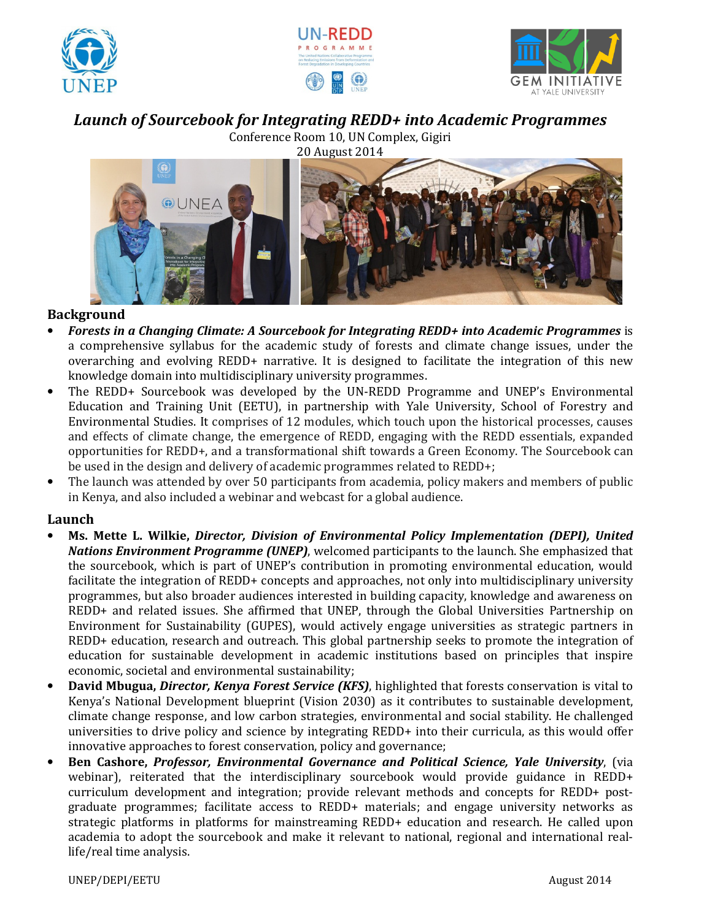





# *Launch of Sourcebook for Integrating REDD+ into Academic Programmes*

Conference Room 10, UN Complex, Gigiri 20 August 2014



# **Background**

- *Forests in a Changing Climate: A Sourcebook for Integrating REDD+ into Academic Programmes* is a comprehensive syllabus for the academic study of forests and climate change issues, under the overarching and evolving REDD+ narrative. It is designed to facilitate the integration of this new knowledge domain into multidisciplinary university programmes.
- The REDD+ Sourcebook was developed by the UN-REDD Programme and UNEP's Environmental Education and Training Unit (EETU), in partnership with Yale University, School of Forestry and Environmental Studies. It comprises of 12 modules, which touch upon the historical processes, causes and effects of climate change, the emergence of REDD, engaging with the REDD essentials, expanded opportunities for REDD+, and a transformational shift towards a Green Economy. The Sourcebook can be used in the design and delivery of academic programmes related to REDD+;
- The launch was attended by over 50 participants from academia, policy makers and members of public in Kenya, and also included a webinar and webcast for a global audience.

# **Launch**

- **Ms. Mette L. Wilkie,** *Director, Division of Environmental Policy Implementation (DEPI), United Nations Environment Programme (UNEP)*, welcomed participants to the launch. She emphasized that the sourcebook, which is part of UNEP's contribution in promoting environmental education, would facilitate the integration of REDD+ concepts and approaches, not only into multidisciplinary university programmes, but also broader audiences interested in building capacity, knowledge and awareness on REDD+ and related issues. She affirmed that UNEP, through the Global Universities Partnership on Environment for Sustainability (GUPES), would actively engage universities as strategic partners in REDD+ education, research and outreach. This global partnership seeks to promote the integration of education for sustainable development in academic institutions based on principles that inspire economic, societal and environmental sustainability;
- **David Mbugua,** *Director, Kenya Forest Service (KFS)*, highlighted that forests conservation is vital to Kenya's National Development blueprint (Vision 2030) as it contributes to sustainable development, climate change response, and low carbon strategies, environmental and social stability. He challenged universities to drive policy and science by integrating REDD+ into their curricula, as this would offer innovative approaches to forest conservation, policy and governance;
- **Ben Cashore,** *Professor, Environmental Governance and Political Science, Yale University*, (via webinar), reiterated that the interdisciplinary sourcebook would provide guidance in REDD+ curriculum development and integration; provide relevant methods and concepts for REDD+ postgraduate programmes; facilitate access to REDD+ materials; and engage university networks as strategic platforms in platforms for mainstreaming REDD+ education and research. He called upon academia to adopt the sourcebook and make it relevant to national, regional and international reallife/real time analysis.